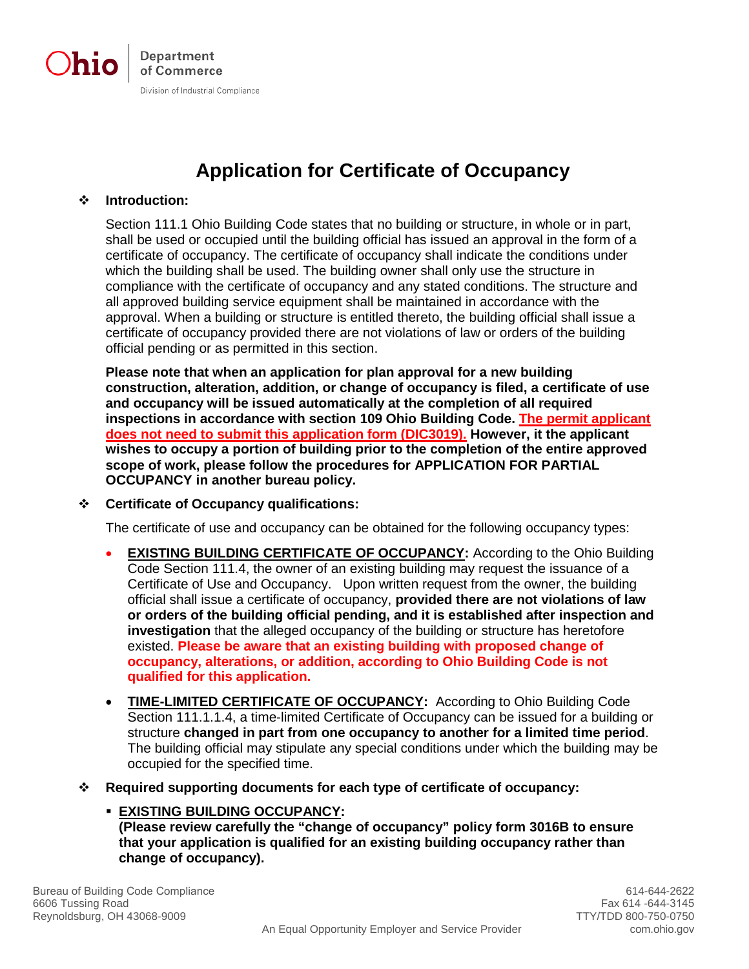

## **Application for Certificate of Occupancy**

#### **Introduction:**

Section 111.1 Ohio Building Code states that no building or structure, in whole or in part, shall be used or occupied until the building official has issued an approval in the form of a certificate of occupancy. The certificate of occupancy shall indicate the conditions under which the building shall be used. The building owner shall only use the structure in compliance with the certificate of occupancy and any stated conditions. The structure and all approved building service equipment shall be maintained in accordance with the approval. When a building or structure is entitled thereto, the building official shall issue a certificate of occupancy provided there are not violations of law or orders of the building official pending or as permitted in this section.

**Please note that when an application for plan approval for a new building construction, alteration, addition, or change of occupancy is filed, a certificate of use and occupancy will be issued automatically at the completion of all required inspections in accordance with section 109 Ohio Building Code. The permit applicant does not need to submit this application form (DIC3019). However, it the applicant wishes to occupy a portion of building prior to the completion of the entire approved scope of work, please follow the procedures for APPLICATION FOR PARTIAL OCCUPANCY in another bureau policy.**

#### **Certificate of Occupancy qualifications:**

The certificate of use and occupancy can be obtained for the following occupancy types:

- **EXISTING BUILDING CERTIFICATE OF OCCUPANCY:** According to the Ohio Building Code Section 111.4, the owner of an existing building may request the issuance of a Certificate of Use and Occupancy. Upon written request from the owner, the building official shall issue a certificate of occupancy, **provided there are not violations of law or orders of the building official pending, and it is established after inspection and investigation** that the alleged occupancy of the building or structure has heretofore existed. **Please be aware that an existing building with proposed change of occupancy, alterations, or addition, according to Ohio Building Code is not qualified for this application.**
- **TIME-LIMITED CERTIFICATE OF OCCUPANCY:** According to Ohio Building Code Section 111.1.1.4, a time-limited Certificate of Occupancy can be issued for a building or structure **changed in part from one occupancy to another for a limited time period**. The building official may stipulate any special conditions under which the building may be occupied for the specified time.
- **Required supporting documents for each type of certificate of occupancy:**

## **EXISTING BUILDING OCCUPANCY:**

**(Please review carefully the "change of occupancy" policy form 3016B to ensure that your application is qualified for an existing building occupancy rather than change of occupancy).**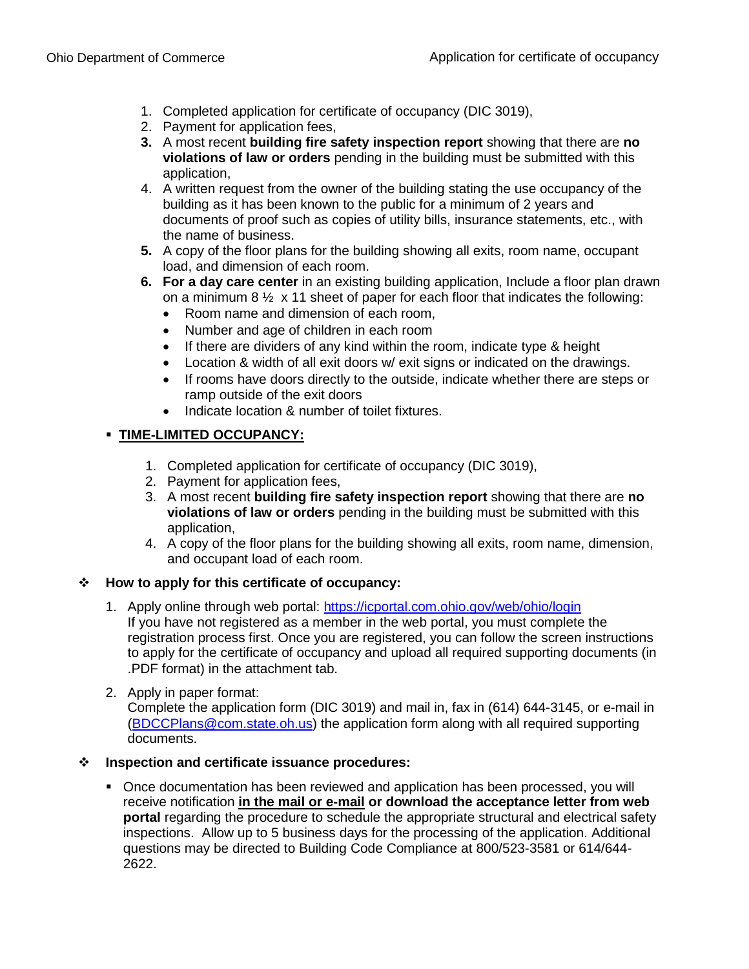- 1. Completed application for certificate of occupancy (DIC 3019),
- 2. Payment for application fees,
- **3.** A most recent **building fire safety inspection report** showing that there are **no violations of law or orders** pending in the building must be submitted with this application,
- 4. A written request from the owner of the building stating the use occupancy of the building as it has been known to the public for a minimum of 2 years and documents of proof such as copies of utility bills, insurance statements, etc., with the name of business.
- **5.** A copy of the floor plans for the building showing all exits, room name, occupant load, and dimension of each room.
- **6. For a day care center** in an existing building application, Include a floor plan drawn on a minimum 8  $\frac{1}{2}$  x 11 sheet of paper for each floor that indicates the following:
	- Room name and dimension of each room,
	- Number and age of children in each room
	- If there are dividers of any kind within the room, indicate type & height
	- Location & width of all exit doors w/ exit signs or indicated on the drawings.
	- If rooms have doors directly to the outside, indicate whether there are steps or ramp outside of the exit doors
	- Indicate location & number of toilet fixtures.

## **TIME-LIMITED OCCUPANCY:**

- 1. Completed application for certificate of occupancy (DIC 3019),
- 2. Payment for application fees,
- 3. A most recent **building fire safety inspection report** showing that there are **no violations of law or orders** pending in the building must be submitted with this application,
- 4. A copy of the floor plans for the building showing all exits, room name, dimension, and occupant load of each room.

#### **How to apply for this certificate of occupancy:**

- 1. Apply online through web portal:<https://icportal.com.ohio.gov/web/ohio/login> If you have not registered as a member in the web portal, you must complete the registration process first. Once you are registered, you can follow the screen instructions to apply for the certificate of occupancy and upload all required supporting documents (in .PDF format) in the attachment tab.
- 2. Apply in paper format:

Complete the application form (DIC 3019) and mail in, fax in (614) 644-3145, or e-mail in [\(BDCCPlans@com.state.oh.us\)](mailto:BDCCPlans@com.state.oh.us) the application form along with all required supporting documents.

#### **Inspection and certificate issuance procedures:**

• Once documentation has been reviewed and application has been processed, you will receive notification **in the mail or e-mail or download the acceptance letter from web portal** regarding the procedure to schedule the appropriate structural and electrical safety inspections. Allow up to 5 business days for the processing of the application. Additional questions may be directed to Building Code Compliance at 800/523-3581 or 614/644- 2622.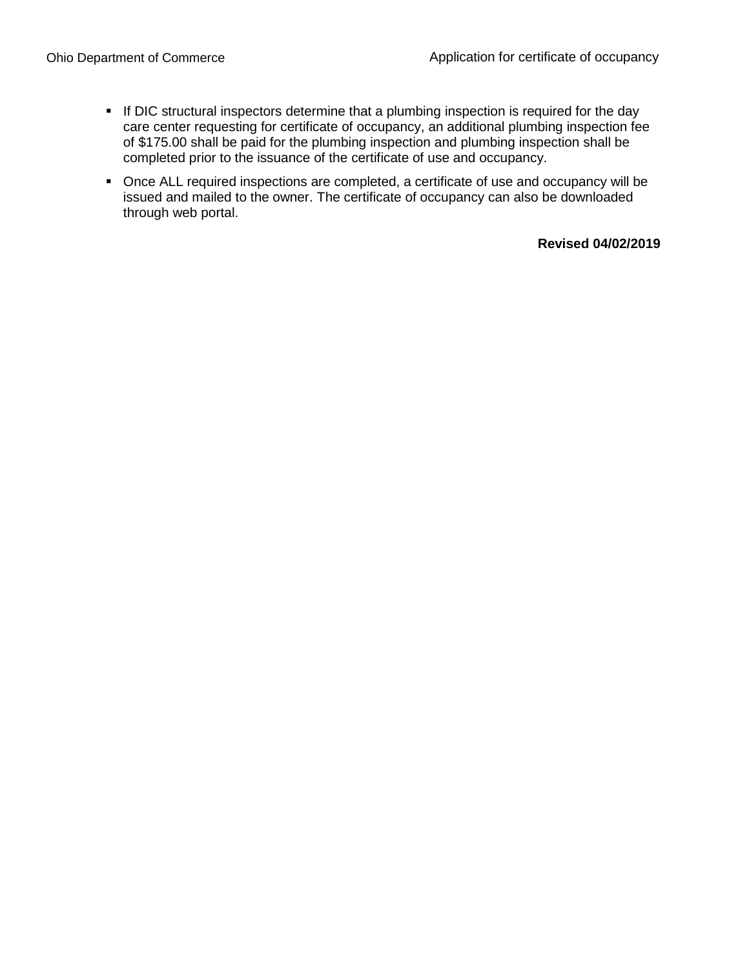- If DIC structural inspectors determine that a plumbing inspection is required for the day care center requesting for certificate of occupancy, an additional plumbing inspection fee of \$175.00 shall be paid for the plumbing inspection and plumbing inspection shall be completed prior to the issuance of the certificate of use and occupancy.
- Once ALL required inspections are completed, a certificate of use and occupancy will be issued and mailed to the owner. The certificate of occupancy can also be downloaded through web portal.

#### **Revised 04/02/2019**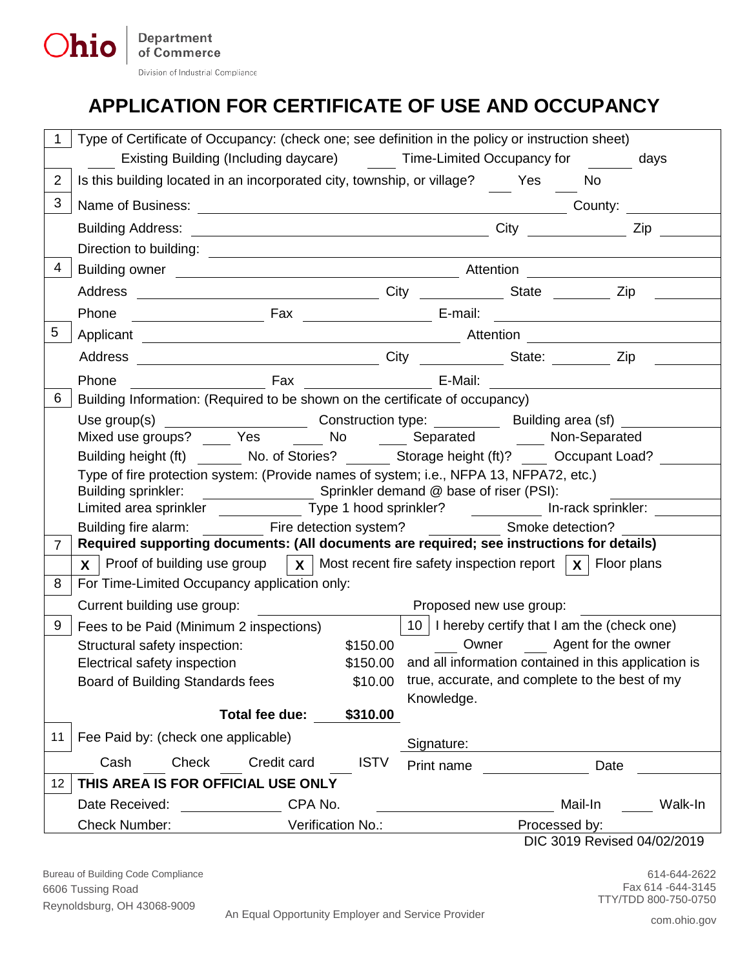# **APPLICATION FOR CERTIFICATE OF USE AND OCCUPANCY**

| Type of Certificate of Occupancy: (check one; see definition in the policy or instruction sheet)                                                                   |                                                                                                            |             |                                                               |  |      |  |
|--------------------------------------------------------------------------------------------------------------------------------------------------------------------|------------------------------------------------------------------------------------------------------------|-------------|---------------------------------------------------------------|--|------|--|
| Existing Building (Including daycare) Time-Limited Occupancy for days                                                                                              |                                                                                                            |             |                                                               |  |      |  |
| Is this building located in an incorporated city, township, or village? Yes<br>2                                                                                   |                                                                                                            |             |                                                               |  | No   |  |
| 3                                                                                                                                                                  |                                                                                                            |             |                                                               |  |      |  |
|                                                                                                                                                                    |                                                                                                            |             |                                                               |  |      |  |
|                                                                                                                                                                    |                                                                                                            |             |                                                               |  |      |  |
| 4                                                                                                                                                                  |                                                                                                            |             |                                                               |  |      |  |
|                                                                                                                                                                    |                                                                                                            |             |                                                               |  |      |  |
| Phone                                                                                                                                                              |                                                                                                            |             |                                                               |  |      |  |
| 5                                                                                                                                                                  |                                                                                                            |             |                                                               |  |      |  |
|                                                                                                                                                                    |                                                                                                            |             |                                                               |  |      |  |
| Phone                                                                                                                                                              |                                                                                                            |             |                                                               |  |      |  |
| Building Information: (Required to be shown on the certificate of occupancy)<br>6                                                                                  |                                                                                                            |             |                                                               |  |      |  |
|                                                                                                                                                                    | Use group(s) _________________________________Construction type: _______________Building area (sf) _______ |             |                                                               |  |      |  |
| Mixed use groups? _____ Yes _______ No ______ Separated _______ Non-Separated                                                                                      |                                                                                                            |             |                                                               |  |      |  |
|                                                                                                                                                                    | Building height (ft) Mo. of Stories? Storage height (ft)? Occupant Load?                                   |             |                                                               |  |      |  |
| Type of fire protection system: (Provide names of system; i.e., NFPA 13, NFPA72, etc.)                                                                             |                                                                                                            |             |                                                               |  |      |  |
|                                                                                                                                                                    |                                                                                                            |             |                                                               |  |      |  |
| Limited area sprinkler _______________ Type 1 hood sprinkler? _____________ In-rack sprinkler: ___<br>Building fire alarm: Fire detection system? Smoke detection? |                                                                                                            |             |                                                               |  |      |  |
| Required supporting documents: (All documents are required; see instructions for details)<br>$\overline{7}$                                                        |                                                                                                            |             |                                                               |  |      |  |
| $\mathbf x$   Proof of building use group   $\mathbf x$   Most recent fire safety inspection report   $\mathbf x$   Floor plans                                    |                                                                                                            |             |                                                               |  |      |  |
| For Time-Limited Occupancy application only:<br>8                                                                                                                  |                                                                                                            |             |                                                               |  |      |  |
| Current building use group:                                                                                                                                        |                                                                                                            |             | Proposed new use group:                                       |  |      |  |
| 9<br>Fees to be Paid (Minimum 2 inspections)                                                                                                                       |                                                                                                            |             | 10   I hereby certify that I am the (check one)               |  |      |  |
| Structural safety inspection:                                                                                                                                      |                                                                                                            |             | Owner Agent for the owner<br>\$150.00                         |  |      |  |
| Electrical safety inspection                                                                                                                                       |                                                                                                            |             | \$150.00 and all information contained in this application is |  |      |  |
| Board of Building Standards fees                                                                                                                                   |                                                                                                            | \$10.00     | true, accurate, and complete to the best of my                |  |      |  |
|                                                                                                                                                                    |                                                                                                            |             | Knowledge.                                                    |  |      |  |
|                                                                                                                                                                    | Total fee due:                                                                                             | \$310.00    |                                                               |  |      |  |
| Fee Paid by: (check one applicable)<br>11                                                                                                                          |                                                                                                            |             | Signature:                                                    |  |      |  |
| Check<br>Cash                                                                                                                                                      | Credit card                                                                                                | <b>ISTV</b> | Print name                                                    |  | Date |  |
| THIS AREA IS FOR OFFICIAL USE ONLY<br>$12 \overline{ }$                                                                                                            |                                                                                                            |             |                                                               |  |      |  |
| Date Received:                                                                                                                                                     | CPA No.                                                                                                    |             | Mail-In<br>Walk-In                                            |  |      |  |
| <b>Check Number:</b>                                                                                                                                               | Verification No.:                                                                                          |             | Processed by:                                                 |  |      |  |
| DIC 3019 Revised 04/02/2019                                                                                                                                        |                                                                                                            |             |                                                               |  |      |  |